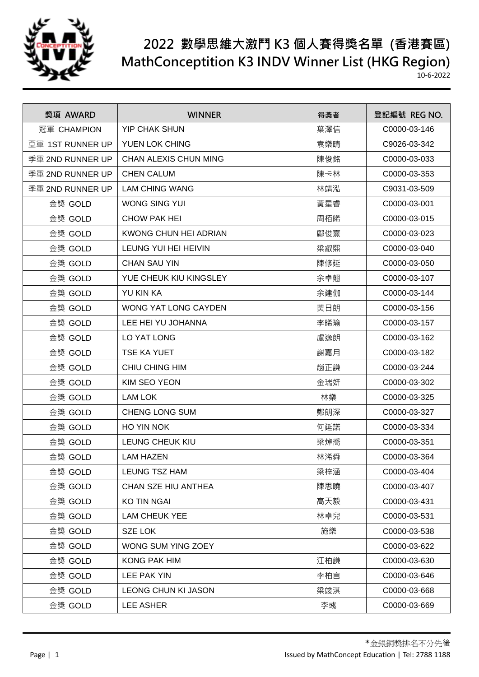

| 獎項 AWARD         | <b>WINNER</b>              | 得獎者 | 登記編號 REG NO. |
|------------------|----------------------------|-----|--------------|
| 冠軍 CHAMPION      | <b>YIP CHAK SHUN</b>       | 葉澤信 | C0000-03-146 |
| 亞軍 1ST RUNNER UP | YUEN LOK CHING             | 袁樂晴 | C9026-03-342 |
| 季軍 2ND RUNNER UP | CHAN ALEXIS CHUN MING      | 陳俊銘 | C0000-03-033 |
| 季軍 2ND RUNNER UP | <b>CHEN CALUM</b>          | 陳卡林 | C0000-03-353 |
| 季軍 2ND RUNNER UP | <b>LAM CHING WANG</b>      | 林靖泓 | C9031-03-509 |
| 金獎 GOLD          | WONG SING YUI              | 黃星睿 | C0000-03-001 |
| 金獎 GOLD          | CHOW PAK HEI               | 周栢晞 | C0000-03-015 |
| 金獎 GOLD          | KWONG CHUN HEI ADRIAN      | 鄺俊熹 | C0000-03-023 |
| 金獎 GOLD          | LEUNG YUI HEI HEIVIN       | 梁叡熙 | C0000-03-040 |
| 金獎 GOLD          | <b>CHAN SAU YIN</b>        | 陳修延 | C0000-03-050 |
| 金獎 GOLD          | YUE CHEUK KIU KINGSLEY     | 余卓翹 | C0000-03-107 |
| 金獎 GOLD          | <b>YU KIN KA</b>           | 余建伽 | C0000-03-144 |
| 金獎 GOLD          | WONG YAT LONG CAYDEN       | 黃日朗 | C0000-03-156 |
| 金獎 GOLD          | LEE HEI YU JOHANNA         | 李晞瑜 | C0000-03-157 |
| 金獎 GOLD          | LO YAT LONG                | 盧逸朗 | C0000-03-162 |
| 金獎 GOLD          | <b>TSE KA YUET</b>         | 謝嘉月 | C0000-03-182 |
| 金獎 GOLD          | CHIU CHING HIM             | 趙正謙 | C0000-03-244 |
| 金獎 GOLD          | KIM SEO YEON               | 金瑞妍 | C0000-03-302 |
| 金獎 GOLD          | LAM LOK                    | 林樂  | C0000-03-325 |
| 金獎 GOLD          | <b>CHENG LONG SUM</b>      | 鄭朗深 | C0000-03-327 |
| 金獎 GOLD          | HO YIN NOK                 | 何延諾 | C0000-03-334 |
| 金獎 GOLD          | <b>LEUNG CHEUK KIU</b>     | 梁焯喬 | C0000-03-351 |
| 金獎 GOLD          | <b>LAM HAZEN</b>           | 林浠舜 | C0000-03-364 |
| 金獎 GOLD          | <b>LEUNG TSZ HAM</b>       | 梁梓涵 | C0000-03-404 |
| 金獎 GOLD          | CHAN SZE HIU ANTHEA        | 陳思曉 | C0000-03-407 |
| 金獎 GOLD          | <b>KO TIN NGAI</b>         | 高天毅 | C0000-03-431 |
| 金獎 GOLD          | <b>LAM CHEUK YEE</b>       | 林卓兒 | C0000-03-531 |
| 金獎 GOLD          | <b>SZE LOK</b>             | 施樂  | C0000-03-538 |
| 金獎 GOLD          | WONG SUM YING ZOEY         |     | C0000-03-622 |
| 金獎 GOLD          | <b>KONG PAK HIM</b>        | 江柏謙 | C0000-03-630 |
| 金獎 GOLD          | LEE PAK YIN                | 李柏言 | C0000-03-646 |
| 金獎 GOLD          | <b>LEONG CHUN KI JASON</b> | 梁竣淇 | C0000-03-668 |
| 金獎 GOLD          |                            |     |              |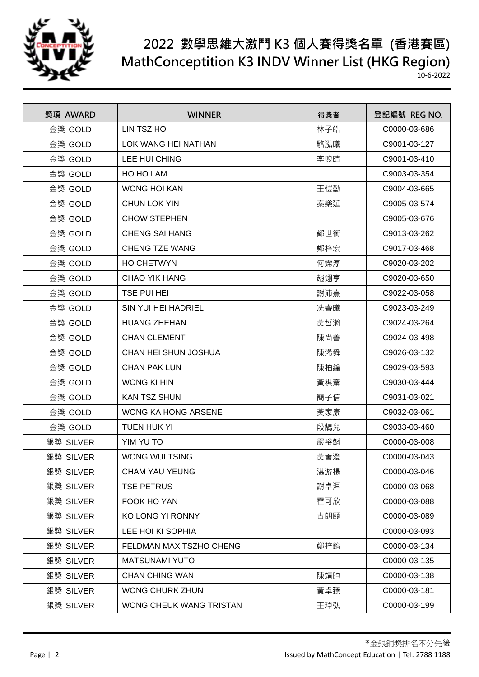

| 獎項 AWARD  | <b>WINNER</b>           | 得獎者 | 登記編號 REG NO. |
|-----------|-------------------------|-----|--------------|
| 金獎 GOLD   | LIN TSZ HO              | 林子皓 | C0000-03-686 |
| 金獎 GOLD   | LOK WANG HEI NATHAN     | 駱泓曦 | C9001-03-127 |
| 金獎 GOLD   | LEE HUI CHING           | 李煦晴 | C9001-03-410 |
| 金獎 GOLD   | HO HO LAM               |     | C9003-03-354 |
| 金獎 GOLD   | <b>WONG HOI KAN</b>     | 王愷勤 | C9004-03-665 |
| 金獎 GOLD   | <b>CHUN LOK YIN</b>     | 秦樂延 | C9005-03-574 |
| 金獎 GOLD   | <b>CHOW STEPHEN</b>     |     | C9005-03-676 |
| 金獎 GOLD   | <b>CHENG SAI HANG</b>   | 鄭世衡 | C9013-03-262 |
| 金獎 GOLD   | <b>CHENG TZE WANG</b>   | 鄭梓宏 | C9017-03-468 |
| 金獎 GOLD   | <b>HO CHETWYN</b>       | 何霈淳 | C9020-03-202 |
| 金獎 GOLD   | CHAO YIK HANG           | 趙翊亨 | C9020-03-650 |
| 金獎 GOLD   | <b>TSE PUI HEI</b>      | 謝沛熹 | C9022-03-058 |
| 金獎 GOLD   | SIN YUI HEI HADRIEL     | 冼睿曦 | C9023-03-249 |
| 金獎 GOLD   | <b>HUANG ZHEHAN</b>     | 黃哲瀚 | C9024-03-264 |
| 金獎 GOLD   | <b>CHAN CLEMENT</b>     | 陳尚善 | C9024-03-498 |
| 金獎 GOLD   | CHAN HEI SHUN JOSHUA    | 陳浠舜 | C9026-03-132 |
| 金獎 GOLD   | <b>CHAN PAK LUN</b>     | 陳柏綸 | C9029-03-593 |
| 金獎 GOLD   | WONG KI HIN             | 黃祺騫 | C9030-03-444 |
| 金獎 GOLD   | <b>KAN TSZ SHUN</b>     | 簡子信 | C9031-03-021 |
| 金獎 GOLD   | WONG KA HONG ARSENE     | 黃家康 | C9032-03-061 |
| 金獎 GOLD   | <b>TUEN HUK YI</b>      | 段鵠兒 | C9033-03-460 |
| 銀獎 SILVER | YIM YU TO               | 嚴裕韜 | C0000-03-008 |
| 銀獎 SILVER | WONG WUI TSING          | 黃薈澄 | C0000-03-043 |
| 銀獎 SILVER | <b>CHAM YAU YEUNG</b>   | 湛游楊 | C0000-03-046 |
| 銀獎 SILVER | <b>TSE PETRUS</b>       | 謝卓洱 | C0000-03-068 |
| 銀獎 SILVER | FOOK HO YAN             | 霍可欣 | C0000-03-088 |
| 銀獎 SILVER | KO LONG YI RONNY        | 古朗頤 | C0000-03-089 |
| 銀獎 SILVER | LEE HOI KI SOPHIA       |     | C0000-03-093 |
| 銀獎 SILVER | FELDMAN MAX TSZHO CHENG | 鄭梓鎬 | C0000-03-134 |
| 銀獎 SILVER | <b>MATSUNAMI YUTO</b>   |     | C0000-03-135 |
| 銀獎 SILVER | <b>CHAN CHING WAN</b>   | 陳靖昀 | C0000-03-138 |
| 銀獎 SILVER | <b>WONG CHURK ZHUN</b>  | 黃卓臻 | C0000-03-181 |
| 銀獎 SILVER | WONG CHEUK WANG TRISTAN | 王琸弘 | C0000-03-199 |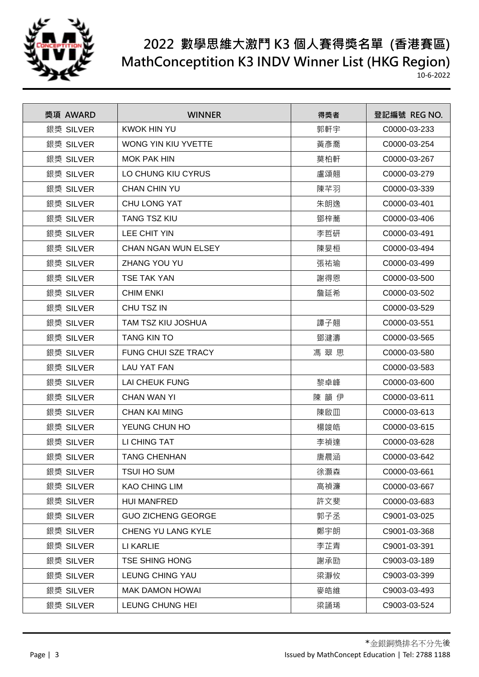

| 獎項 AWARD  | <b>WINNER</b>              | 得獎者 | 登記編號 REG NO. |
|-----------|----------------------------|-----|--------------|
| 銀獎 SILVER | <b>KWOK HIN YU</b>         | 郭軒宇 | C0000-03-233 |
| 銀獎 SILVER | WONG YIN KIU YVETTE        | 黃彥喬 | C0000-03-254 |
| 銀獎 SILVER | <b>MOK PAK HIN</b>         | 莫柏軒 | C0000-03-267 |
| 銀獎 SILVER | LO CHUNG KIU CYRUS         | 盧頌翹 | C0000-03-279 |
| 銀獎 SILVER | <b>CHAN CHIN YU</b>        | 陳芊羽 | C0000-03-339 |
| 銀獎 SILVER | <b>CHU LONG YAT</b>        | 朱朗逸 | C0000-03-401 |
| 銀獎 SILVER | <b>TANG TSZ KIU</b>        | 鄧梓蕎 | C0000-03-406 |
| 銀獎 SILVER | LEE CHIT YIN               | 李哲研 | C0000-03-491 |
| 銀獎 SILVER | <b>CHAN NGAN WUN ELSEY</b> | 陳旻桓 | C0000-03-494 |
| 銀獎 SILVER | <b>ZHANG YOU YU</b>        | 張祐瑜 | C0000-03-499 |
| 銀獎 SILVER | <b>TSE TAK YAN</b>         | 謝得恩 | C0000-03-500 |
| 銀獎 SILVER | <b>CHIM ENKI</b>           | 詹延希 | C0000-03-502 |
| 銀獎 SILVER | CHU TSZ IN                 |     | C0000-03-529 |
| 銀獎 SILVER | TAM TSZ KIU JOSHUA         | 譚子翹 | C0000-03-551 |
| 銀獎 SILVER | <b>TANG KIN TO</b>         | 鄧湕濤 | C0000-03-565 |
| 銀獎 SILVER | <b>FUNG CHUI SZE TRACY</b> | 馮翠思 | C0000-03-580 |
| 銀獎 SILVER | LAU YAT FAN                |     | C0000-03-583 |
| 銀獎 SILVER | <b>LAI CHEUK FUNG</b>      | 黎卓峰 | C0000-03-600 |
| 銀獎 SILVER | <b>CHAN WAN YI</b>         | 陳韻伊 | C0000-03-611 |
| 銀獎 SILVER | <b>CHAN KAI MING</b>       | 陳啟皿 | C0000-03-613 |
| 銀獎 SILVER | YEUNG CHUN HO              | 楊竣皓 | C0000-03-615 |
| 銀獎 SILVER | LI CHING TAT               | 李禎達 | C0000-03-628 |
| 銀獎 SILVER | <b>TANG CHENHAN</b>        | 唐晨涵 | C0000-03-642 |
| 銀獎 SILVER | <b>TSUI HO SUM</b>         | 徐灝森 | C0000-03-661 |
| 銀獎 SILVER | <b>KAO CHING LIM</b>       | 高禎濂 | C0000-03-667 |
| 銀獎 SILVER | <b>HUI MANFRED</b>         | 許文斐 | C0000-03-683 |
| 銀獎 SILVER | <b>GUO ZICHENG GEORGE</b>  | 郭子丞 | C9001-03-025 |
| 銀獎 SILVER | CHENG YU LANG KYLE         | 鄭宇朗 | C9001-03-368 |
| 銀獎 SILVER | LI KARLIE                  | 李芷青 | C9001-03-391 |
| 銀獎 SILVER | <b>TSE SHING HONG</b>      | 謝承劻 | C9003-03-189 |
| 銀獎 SILVER | LEUNG CHING YAU            | 梁瀞攸 | C9003-03-399 |
| 銀獎 SILVER | <b>MAK DAMON HOWAI</b>     | 麥皓維 | C9003-03-493 |
| 銀獎 SILVER | LEUNG CHUNG HEI            | 梁誦琋 | C9003-03-524 |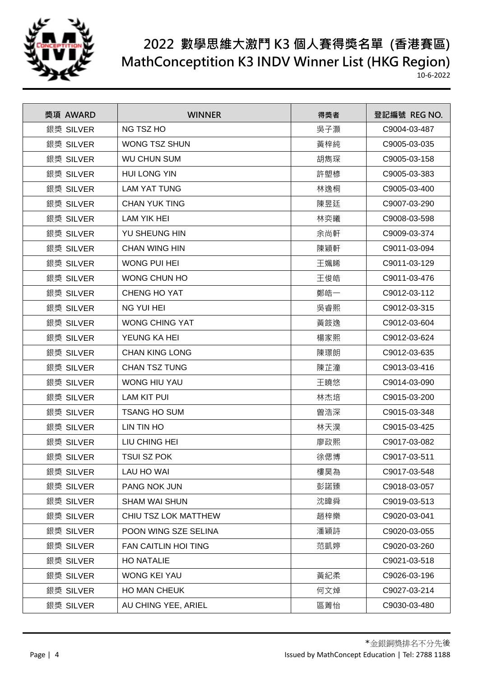

| 獎項 AWARD  | <b>WINNER</b>               | 得獎者 | 登記編號 REG NO. |
|-----------|-----------------------------|-----|--------------|
| 銀獎 SILVER | <b>NG TSZ HO</b>            | 吳子灝 | C9004-03-487 |
| 銀獎 SILVER | <b>WONG TSZ SHUN</b>        | 黃梓純 | C9005-03-035 |
| 銀獎 SILVER | <b>WU CHUN SUM</b>          | 胡雋琛 | C9005-03-158 |
| 銀獎 SILVER | <b>HUI LONG YIN</b>         | 許塱楌 | C9005-03-383 |
| 銀獎 SILVER | <b>LAM YAT TUNG</b>         | 林逸桐 | C9005-03-400 |
| 銀獎 SILVER | <b>CHAN YUK TING</b>        | 陳昱廷 | C9007-03-290 |
| 銀獎 SILVER | <b>LAM YIK HEI</b>          | 林奕曦 | C9008-03-598 |
| 銀獎 SILVER | YU SHEUNG HIN               | 余尚軒 | C9009-03-374 |
| 銀獎 SILVER | <b>CHAN WING HIN</b>        | 陳穎軒 | C9011-03-094 |
| 銀獎 SILVER | <b>WONG PUI HEI</b>         | 王姵睎 | C9011-03-129 |
| 銀獎 SILVER | WONG CHUN HO                | 王俊皓 | C9011-03-476 |
| 銀獎 SILVER | CHENG HO YAT                | 鄭皓一 | C9012-03-112 |
| 銀獎 SILVER | <b>NG YUI HEI</b>           | 吳睿熙 | C9012-03-315 |
| 銀獎 SILVER | <b>WONG CHING YAT</b>       | 黃筬逸 | C9012-03-604 |
| 銀獎 SILVER | YEUNG KA HEI                | 楊家熙 | C9012-03-624 |
| 銀獎 SILVER | <b>CHAN KING LONG</b>       | 陳璟朗 | C9012-03-635 |
| 銀獎 SILVER | <b>CHAN TSZ TUNG</b>        | 陳芷潼 | C9013-03-416 |
| 銀獎 SILVER | WONG HIU YAU                | 王曉悠 | C9014-03-090 |
| 銀獎 SILVER | <b>LAM KIT PUI</b>          | 林杰培 | C9015-03-200 |
| 銀獎 SILVER | <b>TSANG HO SUM</b>         | 曽浩深 | C9015-03-348 |
| 銀獎 SILVER | LIN TIN HO                  | 林天淏 | C9015-03-425 |
| 銀獎 SILVER | LIU CHING HEI               | 廖政熙 | C9017-03-082 |
| 銀獎 SILVER | <b>TSUI SZ POK</b>          | 徐偲博 | C9017-03-511 |
| 銀獎 SILVER | LAU HO WAI                  | 樓昊為 | C9017-03-548 |
| 銀獎 SILVER | PANG NOK JUN                | 彭諾臻 | C9018-03-057 |
| 銀獎 SILVER | <b>SHAM WAI SHUN</b>        | 沈暐舜 | C9019-03-513 |
| 銀獎 SILVER | CHIU TSZ LOK MATTHEW        | 趙梓樂 | C9020-03-041 |
| 銀獎 SILVER | POON WING SZE SELINA        | 潘穎詩 | C9020-03-055 |
| 銀獎 SILVER | <b>FAN CAITLIN HOI TING</b> | 范凱婷 | C9020-03-260 |
| 銀獎 SILVER | <b>HO NATALIE</b>           |     | C9021-03-518 |
| 銀獎 SILVER | <b>WONG KEI YAU</b>         | 黃紀柔 | C9026-03-196 |
| 銀獎 SILVER | <b>HO MAN CHEUK</b>         | 何文焯 | C9027-03-214 |
| 銀獎 SILVER | AU CHING YEE, ARIEL         | 區菁怡 | C9030-03-480 |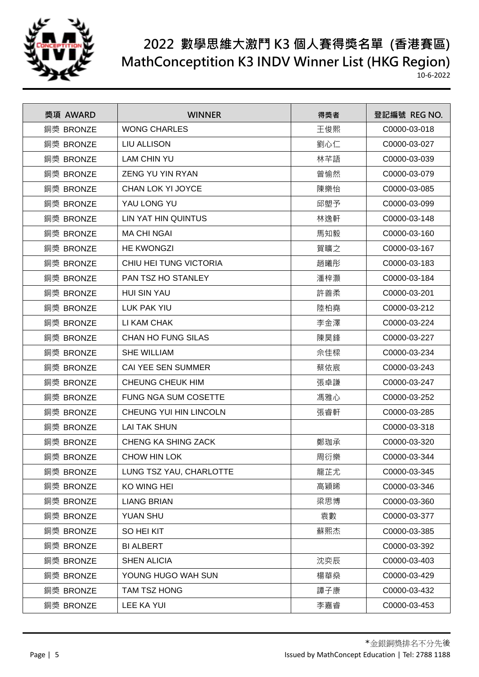

| 獎項 AWARD  | <b>WINNER</b>               | 得獎者 | 登記編號 REG NO. |
|-----------|-----------------------------|-----|--------------|
| 銅獎 BRONZE | <b>WONG CHARLES</b>         | 王俊熙 | C0000-03-018 |
| 銅獎 BRONZE | <b>LIU ALLISON</b>          | 劉心仁 | C0000-03-027 |
| 銅獎 BRONZE | <b>LAM CHIN YU</b>          | 林芊語 | C0000-03-039 |
| 銅獎 BRONZE | ZENG YU YIN RYAN            | 曾愉然 | C0000-03-079 |
| 銅獎 BRONZE | CHAN LOK YI JOYCE           | 陳樂怡 | C0000-03-085 |
| 銅獎 BRONZE | YAU LONG YU                 | 邱塱予 | C0000-03-099 |
| 銅獎 BRONZE | LIN YAT HIN QUINTUS         | 林逸軒 | C0000-03-148 |
| 銅獎 BRONZE | <b>MA CHI NGAI</b>          | 馬知毅 | C0000-03-160 |
| 銅獎 BRONZE | <b>HE KWONGZI</b>           | 賀曠之 | C0000-03-167 |
| 銅獎 BRONZE | CHIU HEI TUNG VICTORIA      | 趙曦彤 | C0000-03-183 |
| 銅獎 BRONZE | <b>PAN TSZ HO STANLEY</b>   | 潘梓灝 | C0000-03-184 |
| 銅獎 BRONZE | <b>HUI SIN YAU</b>          | 許善柔 | C0000-03-201 |
| 銅獎 BRONZE | LUK PAK YIU                 | 陸柏堯 | C0000-03-212 |
| 銅獎 BRONZE | LI KAM CHAK                 | 李金澤 | C0000-03-224 |
| 銅獎 BRONZE | <b>CHAN HO FUNG SILAS</b>   | 陳昊鋒 | C0000-03-227 |
| 銅獎 BRONZE | <b>SHE WILLIAM</b>          | 佘佳樑 | C0000-03-234 |
| 銅獎 BRONZE | <b>CAI YEE SEN SUMMER</b>   | 蔡依宸 | C0000-03-243 |
| 銅獎 BRONZE | <b>CHEUNG CHEUK HIM</b>     | 張卓謙 | C0000-03-247 |
| 銅獎 BRONZE | <b>FUNG NGA SUM COSETTE</b> | 馮雅心 | C0000-03-252 |
| 銅獎 BRONZE | CHEUNG YUI HIN LINCOLN      | 張睿軒 | C0000-03-285 |
| 銅獎 BRONZE | <b>LAI TAK SHUN</b>         |     | C0000-03-318 |
| 銅獎 BRONZE | CHENG KA SHING ZACK         | 鄭珈承 | C0000-03-320 |
| 銅獎 BRONZE | CHOW HIN LOK                | 周衍樂 | C0000-03-344 |
| 銅獎 BRONZE | LUNG TSZ YAU, CHARLOTTE     | 龍芷尤 | C0000-03-345 |
| 銅獎 BRONZE | KO WING HEI                 | 高穎晞 | C0000-03-346 |
| 銅獎 BRONZE | <b>LIANG BRIAN</b>          | 梁思博 | C0000-03-360 |
| 銅獎 BRONZE | <b>YUAN SHU</b>             | 袁數  | C0000-03-377 |
| 銅獎 BRONZE | SO HEI KIT                  | 蘇熙杰 | C0000-03-385 |
| 銅獎 BRONZE | <b>BI ALBERT</b>            |     | C0000-03-392 |
| 銅獎 BRONZE | <b>SHEN ALICIA</b>          | 沈奕辰 | C0000-03-403 |
| 銅獎 BRONZE | YOUNG HUGO WAH SUN          | 楊華燊 | C0000-03-429 |
| 銅獎 BRONZE | TAM TSZ HONG                | 譚子康 | C0000-03-432 |
| 銅獎 BRONZE | LEE KA YUI                  | 李嘉睿 | C0000-03-453 |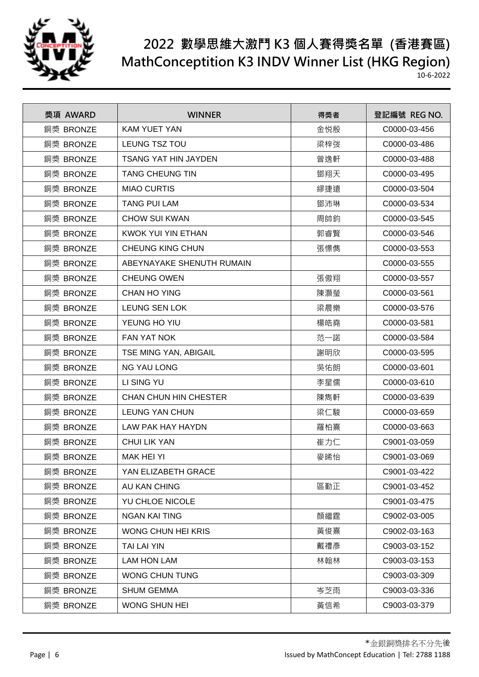

| 獎項 AWARD  | <b>WINNER</b>                | 得獎者 | 登記編號 REG NO. |
|-----------|------------------------------|-----|--------------|
| 銅獎 BRONZE | <b>KAM YUET YAN</b>          | 金悦殷 | C0000-03-456 |
| 銅獎 BRONZE | LEUNG TSZ TOU                | 梁梓弢 | C0000-03-486 |
| 銅獎 BRONZE | <b>TSANG YAT HIN JAYDEN</b>  | 曾逸軒 | C0000-03-488 |
| 銅獎 BRONZE | <b>TANG CHEUNG TIN</b>       | 鄧翔天 | C0000-03-495 |
| 銅獎 BRONZE | <b>MIAO CURTIS</b>           | 繆捷遠 | C0000-03-504 |
| 銅獎 BRONZE | <b>TANG PUI LAM</b>          | 鄧沛琳 | C0000-03-534 |
| 銅獎 BRONZE | <b>CHOW SUI KWAN</b>         | 周帥鈞 | C0000-03-545 |
| 銅獎 BRONZE | KWOK YUI YIN ETHAN           | 郭睿賢 | C0000-03-546 |
| 銅獎 BRONZE | <b>CHEUNG KING CHUN</b>      | 張憬儁 | C0000-03-553 |
| 銅獎 BRONZE | ABEYNAYAKE SHENUTH RUMAIN    |     | C0000-03-555 |
| 銅獎 BRONZE | <b>CHEUNG OWEN</b>           | 張傲翔 | C0000-03-557 |
| 銅獎 BRONZE | <b>CHAN HO YING</b>          | 陳灝瑩 | C0000-03-561 |
| 銅獎 BRONZE | <b>LEUNG SEN LOK</b>         | 梁晨樂 | C0000-03-576 |
| 銅獎 BRONZE | YEUNG HO YIU                 | 楊皓堯 | C0000-03-581 |
| 銅獎 BRONZE | <b>FAN YAT NOK</b>           | 范一諾 | C0000-03-584 |
| 銅獎 BRONZE | TSE MING YAN, ABIGAIL        | 謝明欣 | C0000-03-595 |
| 銅獎 BRONZE | <b>NG YAU LONG</b>           | 吳佑朗 | C0000-03-601 |
| 銅獎 BRONZE | LI SING YU                   | 李星儒 | C0000-03-610 |
| 銅獎 BRONZE | <b>CHAN CHUN HIN CHESTER</b> | 陳雋軒 | C0000-03-639 |
| 銅獎 BRONZE | <b>LEUNG YAN CHUN</b>        | 梁仁駿 | C0000-03-659 |
| 銅獎 BRONZE | LAW PAK HAY HAYDN            | 羅柏熹 | C0000-03-663 |
| 銅獎 BRONZE | <b>CHUI LIK YAN</b>          | 崔力仁 | C9001-03-059 |
| 銅獎 BRONZE | <b>MAK HEI YI</b>            | 麥晞怡 | C9001-03-069 |
| 銅獎 BRONZE | YAN ELIZABETH GRACE          |     | C9001-03-422 |
| 銅獎 BRONZE | AU KAN CHING                 | 區勤正 | C9001-03-452 |
| 銅獎 BRONZE | YU CHLOE NICOLE              |     | C9001-03-475 |
| 銅獎 BRONZE | <b>NGAN KAI TING</b>         | 顏繼霆 | C9002-03-005 |
| 銅獎 BRONZE | WONG CHUN HEI KRIS           | 黃俊熹 | C9002-03-163 |
| 銅獎 BRONZE | TAI LAI YIN                  | 戴禮彥 | C9003-03-152 |
| 銅獎 BRONZE | <b>LAM HON LAM</b>           | 林翰林 | C9003-03-153 |
| 銅獎 BRONZE | WONG CHUN TUNG               |     | C9003-03-309 |
| 銅獎 BRONZE | <b>SHUM GEMMA</b>            | 岑芝雨 | C9003-03-336 |
| 銅獎 BRONZE | WONG SHUN HEI                | 黃信希 | C9003-03-379 |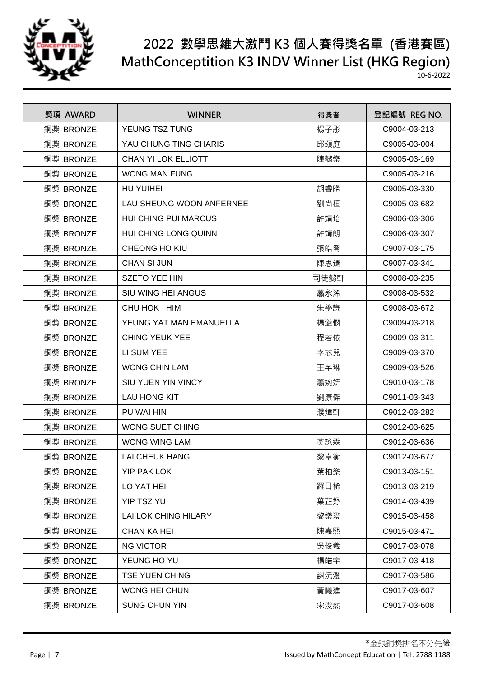

| 獎項 AWARD  | <b>WINNER</b>               | 得獎者  | 登記編號 REG NO. |
|-----------|-----------------------------|------|--------------|
| 銅獎 BRONZE | YEUNG TSZ TUNG              | 楊子彤  | C9004-03-213 |
| 銅獎 BRONZE | YAU CHUNG TING CHARIS       | 邱頌庭  | C9005-03-004 |
| 銅獎 BRONZE | CHAN YI LOK ELLIOTT         | 陳懿樂  | C9005-03-169 |
| 銅獎 BRONZE | WONG MAN FUNG               |      | C9005-03-216 |
| 銅獎 BRONZE | HU YUIHEI                   | 胡睿晞  | C9005-03-330 |
| 銅獎 BRONZE | LAU SHEUNG WOON ANFERNEE    | 劉尚桓  | C9005-03-682 |
| 銅獎 BRONZE | <b>HUI CHING PUI MARCUS</b> | 許靖培  | C9006-03-306 |
| 銅獎 BRONZE | HUI CHING LONG QUINN        | 許靖朗  | C9006-03-307 |
| 銅獎 BRONZE | CHEONG HO KIU               | 張皓喬  | C9007-03-175 |
| 銅獎 BRONZE | <b>CHAN SI JUN</b>          | 陳思臻  | C9007-03-341 |
| 銅獎 BRONZE | <b>SZETO YEE HIN</b>        | 司徒懿軒 | C9008-03-235 |
| 銅獎 BRONZE | SIU WING HEI ANGUS          | 蕭永浠  | C9008-03-532 |
| 銅獎 BRONZE | CHU HOK HIM                 | 朱學謙  | C9008-03-672 |
| 銅獎 BRONZE | YEUNG YAT MAN EMANUELLA     | 楊溢憫  | C9009-03-218 |
| 銅獎 BRONZE | <b>CHING YEUK YEE</b>       | 程若依  | C9009-03-311 |
| 銅獎 BRONZE | LI SUM YEE                  | 李芯兒  | C9009-03-370 |
| 銅獎 BRONZE | <b>WONG CHIN LAM</b>        | 王芊琳  | C9009-03-526 |
| 銅獎 BRONZE | <b>SIU YUEN YIN VINCY</b>   | 蕭婉妍  | C9010-03-178 |
| 銅獎 BRONZE | <b>LAU HONG KIT</b>         | 劉康傑  | C9011-03-343 |
| 銅獎 BRONZE | PU WAI HIN                  | 濮煒軒  | C9012-03-282 |
| 銅獎 BRONZE | <b>WONG SUET CHING</b>      |      | C9012-03-625 |
| 銅獎 BRONZE | <b>WONG WING LAM</b>        | 黃詠霖  | C9012-03-636 |
| 銅獎 BRONZE | <b>LAI CHEUK HANG</b>       | 黎卓衡  | C9012-03-677 |
| 銅獎 BRONZE | <b>YIP PAK LOK</b>          | 葉柏樂  | C9013-03-151 |
| 銅獎 BRONZE | LO YAT HEI                  | 羅日稀  | C9013-03-219 |
| 銅獎 BRONZE | YIP TSZ YU                  | 葉芷妤  | C9014-03-439 |
| 銅獎 BRONZE | LAI LOK CHING HILARY        | 黎樂澄  | C9015-03-458 |
| 銅獎 BRONZE | <b>CHAN KA HEI</b>          | 陳嘉熙  | C9015-03-471 |
| 銅獎 BRONZE | <b>NG VICTOR</b>            | 吳俊羲  | C9017-03-078 |
| 銅獎 BRONZE | YEUNG HO YU                 | 楊皓宇  | C9017-03-418 |
| 銅獎 BRONZE | <b>TSE YUEN CHING</b>       | 謝沅澄  | C9017-03-586 |
| 銅獎 BRONZE | WONG HEI CHUN               | 黃曦進  | C9017-03-607 |
| 銅獎 BRONZE | <b>SUNG CHUN YIN</b>        | 宋浚然  | C9017-03-608 |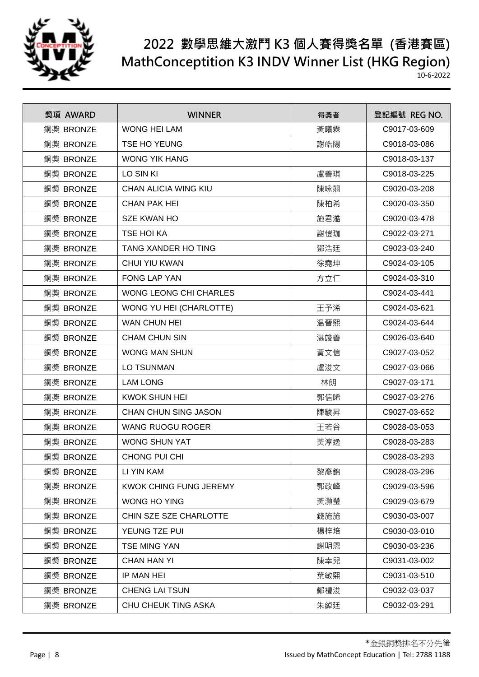

| 獎項 AWARD  | <b>WINNER</b>                 | 得獎者 | 登記編號 REG NO. |
|-----------|-------------------------------|-----|--------------|
| 銅獎 BRONZE | <b>WONG HEI LAM</b>           | 黃曦霖 | C9017-03-609 |
| 銅獎 BRONZE | TSE HO YEUNG                  | 謝皓陽 | C9018-03-086 |
| 銅獎 BRONZE | <b>WONG YIK HANG</b>          |     | C9018-03-137 |
| 銅獎 BRONZE | LO SIN KI                     | 盧善琪 | C9018-03-225 |
| 銅獎 BRONZE | <b>CHAN ALICIA WING KIU</b>   | 陳咏翹 | C9020-03-208 |
| 銅獎 BRONZE | <b>CHAN PAK HEI</b>           | 陳柏希 | C9020-03-350 |
| 銅獎 BRONZE | <b>SZE KWAN HO</b>            | 施君澔 | C9020-03-478 |
| 銅獎 BRONZE | <b>TSE HOI KA</b>             | 謝愷珈 | C9022-03-271 |
| 銅獎 BRONZE | <b>TANG XANDER HO TING</b>    | 鄧浩廷 | C9023-03-240 |
| 銅獎 BRONZE | <b>CHUI YIU KWAN</b>          | 徐堯坤 | C9024-03-105 |
| 銅獎 BRONZE | <b>FONG LAP YAN</b>           | 方立仁 | C9024-03-310 |
| 銅獎 BRONZE | <b>WONG LEONG CHI CHARLES</b> |     | C9024-03-441 |
| 銅獎 BRONZE | WONG YU HEI (CHARLOTTE)       | 王予浠 | C9024-03-621 |
| 銅獎 BRONZE | <b>WAN CHUN HEI</b>           | 温晉熙 | C9024-03-644 |
| 銅獎 BRONZE | <b>CHAM CHUN SIN</b>          | 湛竣善 | C9026-03-640 |
| 銅獎 BRONZE | <b>WONG MAN SHUN</b>          | 黃文信 | C9027-03-052 |
| 銅獎 BRONZE | <b>LO TSUNMAN</b>             | 盧浚文 | C9027-03-066 |
| 銅獎 BRONZE | <b>LAM LONG</b>               | 林朗  | C9027-03-171 |
| 銅獎 BRONZE | <b>KWOK SHUN HEI</b>          | 郭信晞 | C9027-03-276 |
| 銅獎 BRONZE | <b>CHAN CHUN SING JASON</b>   | 陳駿昇 | C9027-03-652 |
| 銅獎 BRONZE | <b>WANG RUOGU ROGER</b>       | 王若谷 | C9028-03-053 |
| 銅獎 BRONZE | <b>WONG SHUN YAT</b>          | 黃淳逸 | C9028-03-283 |
| 銅獎 BRONZE | <b>CHONG PUI CHI</b>          |     | C9028-03-293 |
| 銅獎 BRONZE | LI YIN KAM                    | 黎彥錦 | C9028-03-296 |
| 銅獎 BRONZE | KWOK CHING FUNG JEREMY        | 郭政峰 | C9029-03-596 |
| 銅獎 BRONZE | WONG HO YING                  | 黃灝瑩 | C9029-03-679 |
| 銅獎 BRONZE | CHIN SZE SZE CHARLOTTE        | 錢施施 | C9030-03-007 |
| 銅獎 BRONZE | YEUNG TZE PUI                 | 楊梓培 | C9030-03-010 |
| 銅獎 BRONZE | <b>TSE MING YAN</b>           | 謝明恩 | C9030-03-236 |
| 銅獎 BRONZE | <b>CHAN HAN YI</b>            | 陳幸兒 | C9031-03-002 |
| 銅獎 BRONZE | IP MAN HEI                    | 葉敏熙 | C9031-03-510 |
| 銅獎 BRONZE | <b>CHENG LAI TSUN</b>         | 鄭禮浚 | C9032-03-037 |
| 銅獎 BRONZE | CHU CHEUK TING ASKA           | 朱綽廷 | C9032-03-291 |